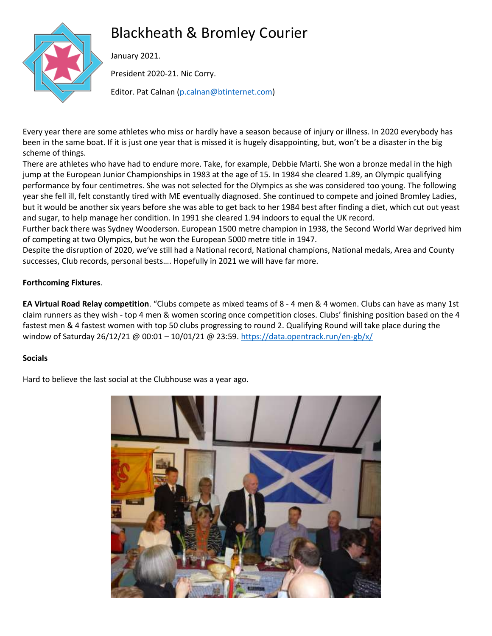# Blackheath & Bromley Courier



January 2021.

President 2020-21. Nic Corry.

Editor. Pat Calnan [\(p.calnan@btinternet.com\)](mailto:p.calnan@btinternet.com)

Every year there are some athletes who miss or hardly have a season because of injury or illness. In 2020 everybody has been in the same boat. If it is just one year that is missed it is hugely disappointing, but, won't be a disaster in the big scheme of things.

There are athletes who have had to endure more. Take, for example, Debbie Marti. She won a bronze medal in the high jump at the European Junior Championships in 1983 at the age of 15. In 1984 she cleared 1.89, an Olympic qualifying performance by four centimetres. She was not selected for the Olympics as she was considered too young. The following year she fell ill, felt constantly tired with ME eventually diagnosed. She continued to compete and joined Bromley Ladies, but it would be another six years before she was able to get back to her 1984 best after finding a diet, which cut out yeast and sugar, to help manage her condition. In 1991 she cleared 1.94 indoors to equal the UK record.

Further back there was Sydney Wooderson. European 1500 metre champion in 1938, the Second World War deprived him of competing at two Olympics, but he won the European 5000 metre title in 1947.

Despite the disruption of 2020, we've still had a National record, National champions, National medals, Area and County successes, Club records, personal bests…. Hopefully in 2021 we will have far more.

# **Forthcoming Fixtures**.

**EA Virtual Road Relay competition**. "Clubs compete as mixed teams of 8 - 4 men & 4 women. Clubs can have as many 1st claim runners as they wish - top 4 men & women scoring once competition closes. Clubs' finishing position based on the 4 fastest men & 4 fastest women with top 50 clubs progressing to round 2. Qualifying Round will take place during the window of Saturday 26/12/21 @ 00:01 - 10/01/21 @ 23:59. <https://data.opentrack.run/en-gb/x/>

# **Socials**

Hard to believe the last social at the Clubhouse was a year ago.

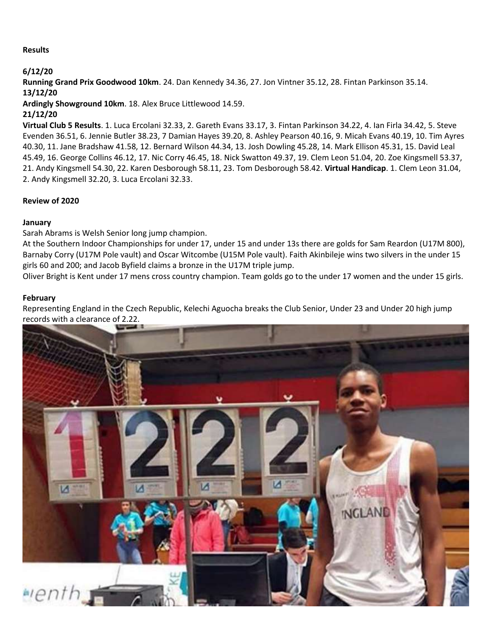## **Results**

## **6/12/20**

**Running Grand Prix Goodwood 10km**. 24. Dan Kennedy 34.36, 27. Jon Vintner 35.12, 28. Fintan Parkinson 35.14. **13/12/20**

**Ardingly Showground 10km**. 18. Alex Bruce Littlewood 14.59.

## **21/12/20**

**Virtual Club 5 Results**. 1. Luca Ercolani 32.33, 2. Gareth Evans 33.17, 3. Fintan Parkinson 34.22, 4. Ian Firla 34.42, 5. Steve Evenden 36.51, 6. Jennie Butler 38.23, 7 Damian Hayes 39.20, 8. Ashley Pearson 40.16, 9. Micah Evans 40.19, 10. Tim Ayres 40.30, 11. Jane Bradshaw 41.58, 12. Bernard Wilson 44.34, 13. Josh Dowling 45.28, 14. Mark Ellison 45.31, 15. David Leal 45.49, 16. George Collins 46.12, 17. Nic Corry 46.45, 18. Nick Swatton 49.37, 19. Clem Leon 51.04, 20. Zoe Kingsmell 53.37, 21. Andy Kingsmell 54.30, 22. Karen Desborough 58.11, 23. Tom Desborough 58.42. **Virtual Handicap**. 1. Clem Leon 31.04, 2. Andy Kingsmell 32.20, 3. Luca Ercolani 32.33.

## **Review of 2020**

## **January**

Sarah Abrams is Welsh Senior long jump champion.

At the Southern Indoor Championships for under 17, under 15 and under 13s there are golds for Sam Reardon (U17M 800), Barnaby Corry (U17M Pole vault) and Oscar Witcombe (U15M Pole vault). Faith Akinbileje wins two silvers in the under 15 girls 60 and 200; and Jacob Byfield claims a bronze in the U17M triple jump.

Oliver Bright is Kent under 17 mens cross country champion. Team golds go to the under 17 women and the under 15 girls.

## **February**

Representing England in the Czech Republic, Kelechi Aguocha breaks the Club Senior, Under 23 and Under 20 high jump records with a clearance of 2.22.

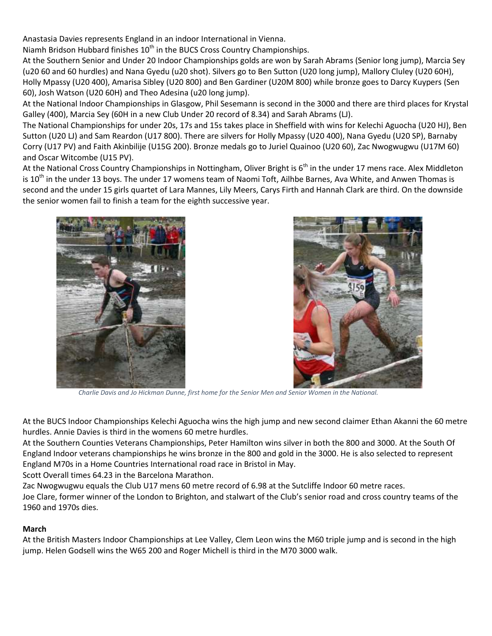Anastasia Davies represents England in an indoor International in Vienna.

Niamh Bridson Hubbard finishes  $10<sup>th</sup>$  in the BUCS Cross Country Championships.

At the Southern Senior and Under 20 Indoor Championships golds are won by Sarah Abrams (Senior long jump), Marcia Sey (u20 60 and 60 hurdles) and Nana Gyedu (u20 shot). Silvers go to Ben Sutton (U20 long jump), Mallory Cluley (U20 60H), Holly Mpassy (U20 400), Amarisa Sibley (U20 800) and Ben Gardiner (U20M 800) while bronze goes to Darcy Kuypers (Sen 60), Josh Watson (U20 60H) and Theo Adesina (u20 long jump).

At the National Indoor Championships in Glasgow, Phil Sesemann is second in the 3000 and there are third places for Krystal Galley (400), Marcia Sey (60H in a new Club Under 20 record of 8.34) and Sarah Abrams (LJ).

The National Championships for under 20s, 17s and 15s takes place in Sheffield with wins for Kelechi Aguocha (U20 HJ), Ben Sutton (U20 LJ) and Sam Reardon (U17 800). There are silvers for Holly Mpassy (U20 400), Nana Gyedu (U20 SP), Barnaby Corry (U17 PV) and Faith Akinbilije (U15G 200). Bronze medals go to Juriel Quainoo (U20 60), Zac Nwogwugwu (U17M 60) and Oscar Witcombe (U15 PV).

At the National Cross Country Championships in Nottingham, Oliver Bright is  $6<sup>th</sup>$  in the under 17 mens race. Alex Middleton is 10<sup>th</sup> in the under 13 boys. The under 17 womens team of Naomi Toft, Ailhbe Barnes, Ava White, and Anwen Thomas is second and the under 15 girls quartet of Lara Mannes, Lily Meers, Carys Firth and Hannah Clark are third. On the downside the senior women fail to finish a team for the eighth successive year.





 *Charlie Davis and Jo Hickman Dunne, first home for the Senior Men and Senior Women in the National.*

At the BUCS Indoor Championships Kelechi Aguocha wins the high jump and new second claimer Ethan Akanni the 60 metre hurdles. Annie Davies is third in the womens 60 metre hurdles.

At the Southern Counties Veterans Championships, Peter Hamilton wins silver in both the 800 and 3000. At the South Of England Indoor veterans championships he wins bronze in the 800 and gold in the 3000. He is also selected to represent England M70s in a Home Countries International road race in Bristol in May.

Scott Overall times 64.23 in the Barcelona Marathon.

Zac Nwogwugwu equals the Club U17 mens 60 metre record of 6.98 at the Sutcliffe Indoor 60 metre races.

Joe Clare, former winner of the London to Brighton, and stalwart of the Club's senior road and cross country teams of the 1960 and 1970s dies.

## **March**

At the British Masters Indoor Championships at Lee Valley, Clem Leon wins the M60 triple jump and is second in the high jump. Helen Godsell wins the W65 200 and Roger Michell is third in the M70 3000 walk.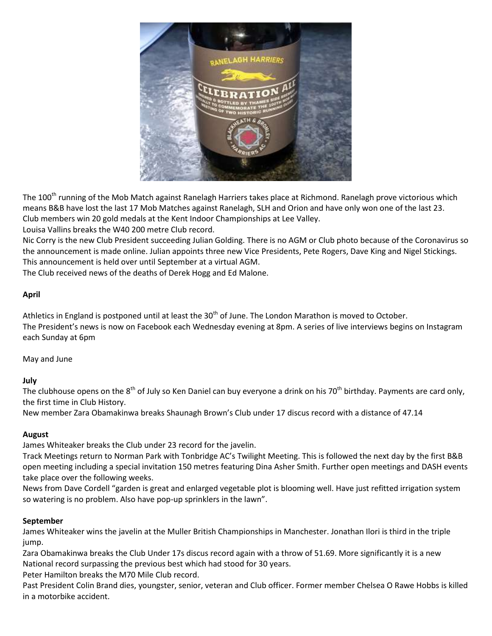

The 100<sup>th</sup> running of the Mob Match against Ranelagh Harriers takes place at Richmond. Ranelagh prove victorious which means B&B have lost the last 17 Mob Matches against Ranelagh, SLH and Orion and have only won one of the last 23. Club members win 20 gold medals at the Kent Indoor Championships at Lee Valley.

Louisa Vallins breaks the W40 200 metre Club record.

Nic Corry is the new Club President succeeding Julian Golding. There is no AGM or Club photo because of the Coronavirus so the announcement is made online. Julian appoints three new Vice Presidents, Pete Rogers, Dave King and Nigel Stickings. This announcement is held over until September at a virtual AGM.

The Club received news of the deaths of Derek Hogg and Ed Malone.

## **April**

Athletics in England is postponed until at least the  $30<sup>th</sup>$  of June. The London Marathon is moved to October. The President's news is now on Facebook each Wednesday evening at 8pm. A series of live interviews begins on Instagram each Sunday at 6pm

May and June

**July**

The clubhouse opens on the  $8<sup>th</sup>$  of July so Ken Daniel can buy everyone a drink on his 70<sup>th</sup> birthday. Payments are card only, the first time in Club History.

New member Zara Obamakinwa breaks Shaunagh Brown's Club under 17 discus record with a distance of 47.14

## **August**

James Whiteaker breaks the Club under 23 record for the javelin.

Track Meetings return to Norman Park with Tonbridge AC's Twilight Meeting. This is followed the next day by the first B&B open meeting including a special invitation 150 metres featuring Dina Asher Smith. Further open meetings and DASH events take place over the following weeks.

News from Dave Cordell "garden is great and enlarged vegetable plot is blooming well. Have just refitted irrigation system so watering is no problem. Also have pop-up sprinklers in the lawn".

## **September**

James Whiteaker wins the javelin at the Muller British Championships in Manchester. Jonathan Ilori is third in the triple jump.

Zara Obamakinwa breaks the Club Under 17s discus record again with a throw of 51.69. More significantly it is a new National record surpassing the previous best which had stood for 30 years.

Peter Hamilton breaks the M70 Mile Club record.

Past President Colin Brand dies, youngster, senior, veteran and Club officer. Former member Chelsea O Rawe Hobbs is killed in a motorbike accident.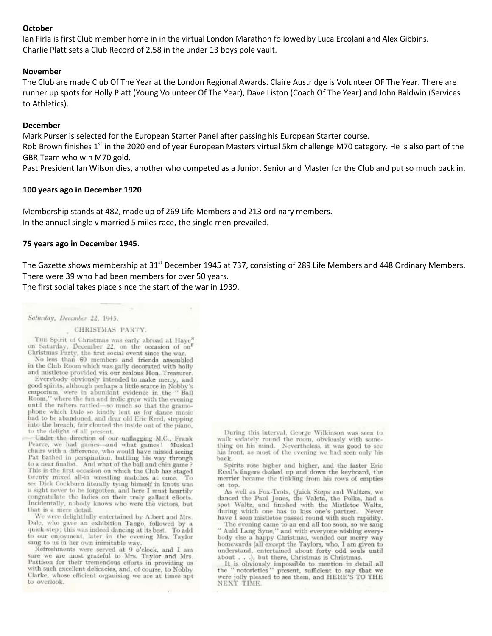## **October**

Ian Firla is first Club member home in in the virtual London Marathon followed by Luca Ercolani and Alex Gibbins. Charlie Platt sets a Club Record of 2.58 in the under 13 boys pole vault.

#### **November**

The Club are made Club Of The Year at the London Regional Awards. Claire Austridge is Volunteer OF The Year. There are runner up spots for Holly Platt (Young Volunteer Of The Year), Dave Liston (Coach Of The Year) and John Baldwin (Services to Athletics).

## **December**

Mark Purser is selected for the European Starter Panel after passing his European Starter course.

Rob Brown finishes 1<sup>st</sup> in the 2020 end of year European Masters virtual 5km challenge M70 category. He is also part of the GBR Team who win M70 gold.

Past President Ian Wilson dies, another who competed as a Junior, Senior and Master for the Club and put so much back in.

## **100 years ago in December 1920**

Membership stands at 482, made up of 269 Life Members and 213 ordinary members. In the annual single v married 5 miles race, the single men prevailed.

### **75 years ago in December 1945**.

The Gazette shows membership at 31<sup>st</sup> December 1945 at 737, consisting of 289 Life Members and 448 Ordinary Members. There were 39 who had been members for over 50 years.

The first social takes place since the start of the war in 1939.

Saturday, December 22, 1945.

#### CHRISTMAS PARTY.

THE Spirit of Christmas was early abroad at Haye<sup>5</sup> on Saturday, December 22, on the occasion of ou<sup>r</sup> Christmas Party, the first social event since the war.

No less than 60 members and friends assembled in the Club Room which was gaily decorated with holly and mistletoe provided via our zealous Hon. Treasurer.

Everybody obviously intended to make merry, and good spirits, although perhaps a little scarce in Nobby's emporium, were in abundant evidence in the "Ball Room," where the fun and frolic grew with the evening until the rafters rattled-so much so that the gramophone which Dale so kindly lent us for dance music had to be abandoned, and dear old Eric Reed, stepping into the breach, fair clouted the inside out of the piano, to the delight of all present.

Under the direction of our unflagging M.C., Frank Pearce, we had games-and what games! Musical chairs with a difference, who would have missed seeing Pat bathed in perspiration, battling his way through to a near finalist. And what of the ball and chin game? This is the first occasion on which the Club has staged twenty mixed all-in wrestling matches at once. Tо see Dick Cockburn literally tying himself in knots was a sight never to be forgotten, and here I must heartily congratulate the ladies on their truly gallant efforts. Incidentally, nobody knows who were the victors, but that is a mere detail.

We were delightfully entertained by Albert and Mrs. Dale, who gave an exhibition Tango, followed by a quick-step; this was indeed dancing at its best. To add to our cujoyment, later in the evening Mrs. Taylor sang to us in her own inimitable way.

Refreshments were served at 9 o'clock, and 1 am sure we are most grateful to Mrs. Taylor and Mrs. Pattison for their tremendous efforts in providing us with such excellent delicacies, and, of course, to Nobby Clarke, whose efficient organising we are at times apt to overlook.

During this interval, George Wilkinson was seen to walk sedately round the room, obviously with something on his mind. Nevertheless, it was good to see his front, as most of the evening we had seen only his back.

Spirits rose higher and higher, and the faster Eric Reed's fingers dashed up and down the keyboard, the merrier became the tinkling from his rows of empties on top.

As well as Fox-Trots, Quick Steps and Waltzes, we danced the Paul Jones, the Valeta, the Polka, had a spot Waltz, and finished with the Mistletoe Waltz, during which one has to kiss one's partner. Never have I seen mistletoe passed round with such rapidity.

The evening came to an end all too soon, so we sang<br>" Auld Lang Syne," and with everyone wishing everybody else a happy Christmas, wended our merry way homewards (all except the Taylors, who, I am given to understand, entertained about forty odd souls until about . . .), but there, Christmas is Christmas.

It is obviously impossible to mention in detail all<br>the "notorieties" present, sufficient to say that we were jolly pleased to see them, and HERE'S TO THE NEXT TIME.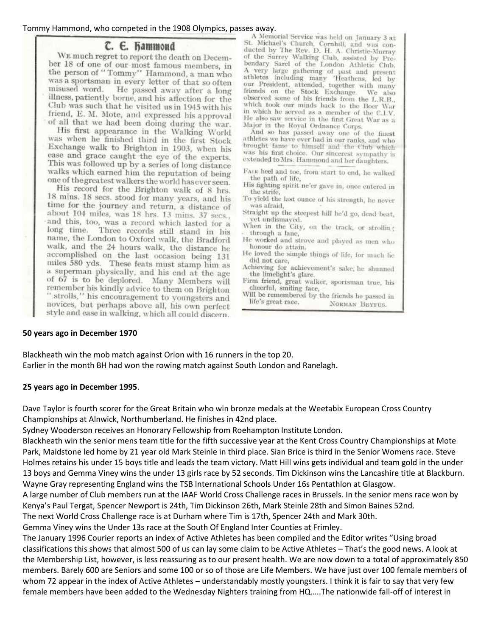# Tommy Hammond, who competed in the 1908 Olympics, passes away.<br>A Memorial Service was held on January 3 at

# C. E. Hammond

WE much regret to report the death on December 18 of one of our most famous members, in the person of "Tommy" Hammond, a man who was a sportsman in every letter of that so often misused word. He passed away after a long illness, patiently borne, and his affection for the Club was such that he visited us in 1945 with his friend, E. M. Mote, and expressed his approval of all that we had been doing during the war.

His first appearance in the Walking World was when he finished third in the first Stock Exchange walk to Brighton in 1903, when his ease and grace caught the eye of the experts. This was followed up by a series of long distance walks which earned him the reputation of being one of the greatest walkers the world has ever seen.

His record for the Brighton walk of 8 hrs. 18 mins. 18 secs. stood for many years, and his time for the journey and return, a distance of about 104 miles, was 18 hrs. 13 mins. 37 secs.. and this, too, was a record which lasted for a long time. Three records still stand in his name, the London to Oxford walk, the Bradford walk, and the 24 hours walk, the distance he accomplished on the last occasion being 131 miles 580 yds. These feats must stamp him as a superman physically, and his end at the age of 67 is to be deplored. Many Members will remember his kindly advice to them on Brighton " strolls," his encouragement to voungsters and novices, but perhaps above all, his own perfect style and ease in walking, which all could discern.

St. Michael's Church, Cornhill, and was conducted by The Rev. D. H. A. Christie-Murray of the Surrey Walking Club, assisted by Prebendary Sarel of the London Athletic Club.<br>A very large gathering of past and present athletes including many 'Heathens, led by our President, attended, together with many friends on the Stock Exchange. We also observed some of his friends from the L.R.B., which took our minds back to the Boer War<br>in which he served as a member of the C.I.V. He also saw service in the first Great War as a Major in the Royal Ordnance Corps.

And so has passed away one of the finest athletes we have ever had in our ranks, and who brought fame to himself and the Club which was his first choice. Our sincerest sympathy is extended to Mrs. Hammond and her daughters.

- FAIR heel and toe, from start to end, he walked the path of life,
- His fighting spirit ne'er gave in, once entered in the strife,
- To yield the last ounce of his strength, he never was afraid.
- Straight up the steepest hill he'd go, dead beat, yet undismayed.
- When in the City, on the track, or strolling through a lane,
- He worked and strove and played as men who honour do attain.
- He loved the simple things of life, for much he did not care,
- Achieving for achievement's sake, he shunned the limelight's glare
- Firm friend, great walker, sportsman true, his cheerful, smiling face,
- Will be remembered by the friends he passed in life's great race. NORMAN BEYFUS.

## **50 years ago in December 1970**

Blackheath win the mob match against Orion with 16 runners in the top 20. Earlier in the month BH had won the rowing match against South London and Ranelagh.

## **25 years ago in December 1995**.

Dave Taylor is fourth scorer for the Great Britain who win bronze medals at the Weetabix European Cross Country Championships at Alnwick, Northumberland. He finishes in 42nd place.

Sydney Wooderson receives an Honorary Fellowship from Roehampton Institute London.

Blackheath win the senior mens team title for the fifth successive year at the Kent Cross Country Championships at Mote Park, Maidstone led home by 21 year old Mark Steinle in third place. Sian Brice is third in the Senior Womens race. Steve Holmes retains his under 15 boys title and leads the team victory. Matt Hill wins gets individual and team gold in the under 13 boys and Gemma Viney wins the under 13 girls race by 52 seconds. Tim Dickinson wins the Lancashire title at Blackburn. Wayne Gray representing England wins the TSB International Schools Under 16s Pentathlon at Glasgow.

A large number of Club members run at the IAAF World Cross Challenge races in Brussels. In the senior mens race won by Kenya's Paul Tergat, Spencer Newport is 24th, Tim Dickinson 26th, Mark Steinle 28th and Simon Baines 52nd.

The next World Cross Challenge race is at Durham where Tim is 17th, Spencer 24th and Mark 30th.

Gemma Viney wins the Under 13s race at the South Of England Inter Counties at Frimley.

The January 1996 Courier reports an index of Active Athletes has been compiled and the Editor writes "Using broad classifications this shows that almost 500 of us can lay some claim to be Active Athletes – That's the good news. A look at the Membership List, however, is less reassuring as to our present health. We are now down to a total of approximately 850 members. Barely 600 are Seniors and some 100 or so of those are Life Members. We have just over 100 female members of whom 72 appear in the index of Active Athletes – understandably mostly youngsters. I think it is fair to say that very few female members have been added to the Wednesday Nighters training from HQ…..The nationwide fall-off of interest in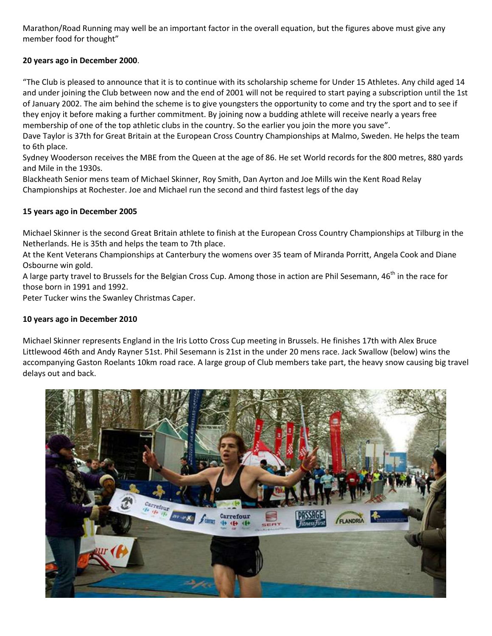Marathon/Road Running may well be an important factor in the overall equation, but the figures above must give any member food for thought"

# **20 years ago in December 2000**.

"The Club is pleased to announce that it is to continue with its scholarship scheme for Under 15 Athletes. Any child aged 14 and under joining the Club between now and the end of 2001 will not be required to start paying a subscription until the 1st of January 2002. The aim behind the scheme is to give youngsters the opportunity to come and try the sport and to see if they enjoy it before making a further commitment. By joining now a budding athlete will receive nearly a years free membership of one of the top athletic clubs in the country. So the earlier you join the more you save".

Dave Taylor is 37th for Great Britain at the European Cross Country Championships at Malmo, Sweden. He helps the team to 6th place.

Sydney Wooderson receives the MBE from the Queen at the age of 86. He set World records for the 800 metres, 880 yards and Mile in the 1930s.

Blackheath Senior mens team of Michael Skinner, Roy Smith, Dan Ayrton and Joe Mills win the Kent Road Relay Championships at Rochester. Joe and Michael run the second and third fastest legs of the day

## **15 years ago in December 2005**

Michael Skinner is the second Great Britain athlete to finish at the European Cross Country Championships at Tilburg in the Netherlands. He is 35th and helps the team to 7th place.

At the Kent Veterans Championships at Canterbury the womens over 35 team of Miranda Porritt, Angela Cook and Diane Osbourne win gold.

A large party travel to Brussels for the Belgian Cross Cup. Among those in action are Phil Sesemann, 46<sup>th</sup> in the race for those born in 1991 and 1992.

Peter Tucker wins the Swanley Christmas Caper.

## **10 years ago in December 2010**

Michael Skinner represents England in the Iris Lotto Cross Cup meeting in Brussels. He finishes 17th with Alex Bruce Littlewood 46th and Andy Rayner 51st. Phil Sesemann is 21st in the under 20 mens race. Jack Swallow (below) wins the accompanying Gaston Roelants 10km road race. A large group of Club members take part, the heavy snow causing big travel delays out and back.